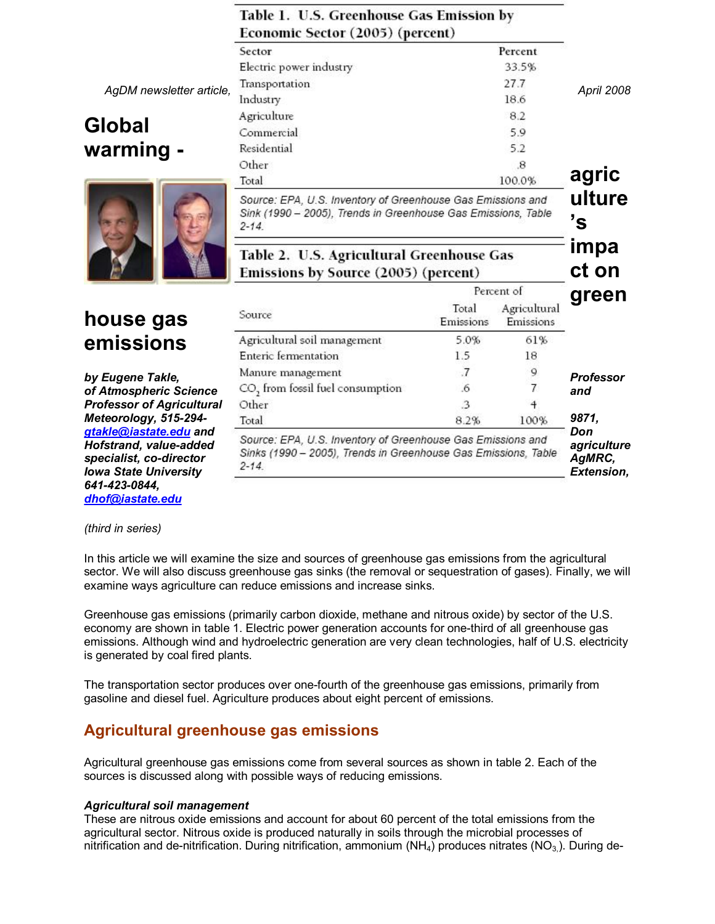|                                                            | Economic Sector (2005) (percent)                                                  |                    |                                         |                         |
|------------------------------------------------------------|-----------------------------------------------------------------------------------|--------------------|-----------------------------------------|-------------------------|
|                                                            | Sector                                                                            |                    | Percent                                 |                         |
|                                                            | Electric power industry                                                           |                    | 33.5%                                   |                         |
| AgDM newsletter article,                                   | Transportation                                                                    |                    | 27.7                                    | April 2008              |
|                                                            | Industry                                                                          |                    | 18.6                                    |                         |
| Global                                                     | Agriculture                                                                       |                    | 8.2                                     |                         |
|                                                            | Commercial                                                                        |                    | 5.9                                     |                         |
| warming -                                                  | Residential                                                                       |                    | 5.2                                     |                         |
|                                                            | Other                                                                             |                    | .8                                      |                         |
|                                                            | Total                                                                             |                    | 100.0%                                  | agric                   |
|                                                            | $2 - 14.$                                                                         |                    |                                         | 's                      |
|                                                            | Table 2. U.S. Agricultural Greenhouse Gas<br>Emissions by Source (2005) (percent) |                    |                                         | impa<br>ct on           |
| house gas                                                  | Source                                                                            | Total<br>Emissions | Percent of<br>Agricultural<br>Emissions | green                   |
|                                                            | Agricultural soil management                                                      | 5.0%               | 61%                                     |                         |
| emissions                                                  | <b>Enteric fermentation</b>                                                       | 1.5                | 18                                      |                         |
|                                                            | Manure management                                                                 | -7                 | 9                                       |                         |
| by Eugene Takle,                                           | CO, from fossil fuel consumption                                                  | .6                 | 7                                       | <b>Professor</b><br>and |
| of Atmospheric Science<br><b>Professor of Agricultural</b> | Other                                                                             | 3                  |                                         |                         |
| Meteorology, 515-294-<br>gtakle@iastate.edu and            | Total                                                                             | 8.2%               | 100%                                    | 9871,<br>Don            |

*[dhof@iastate.edu](mailto:dhof@iastate.edu)*

#### *(third in series)*

In this article we will examine the size and sources of greenhouse gas emissions from the agricultural sector. We will also discuss greenhouse gas sinks (the removal or sequestration of gases). Finally, we will examine ways agriculture can reduce emissions and increase sinks.

Greenhouse gas emissions (primarily carbon dioxide, methane and nitrous oxide) by sector of the U.S. economy are shown in table 1. Electric power generation accounts for one-third of all greenhouse gas emissions. Although wind and hydroelectric generation are very clean technologies, half of U.S. electricity is generated by coal fired plants.

The transportation sector produces over one-fourth of the greenhouse gas emissions, primarily from gasoline and diesel fuel. Agriculture produces about eight percent of emissions.

# **Agricultural greenhouse gas emissions**

Agricultural greenhouse gas emissions come from several sources as shown in table 2. Each of the sources is discussed along with possible ways of reducing emissions.

### *Agricultural soil management*

These are nitrous oxide emissions and account for about 60 percent of the total emissions from the agricultural sector. Nitrous oxide is produced naturally in soils through the microbial processes of nitrification and de-nitrification. During nitrification, ammonium ( $NH<sub>4</sub>$ ) produces nitrates ( $NO<sub>3</sub>$ ). During de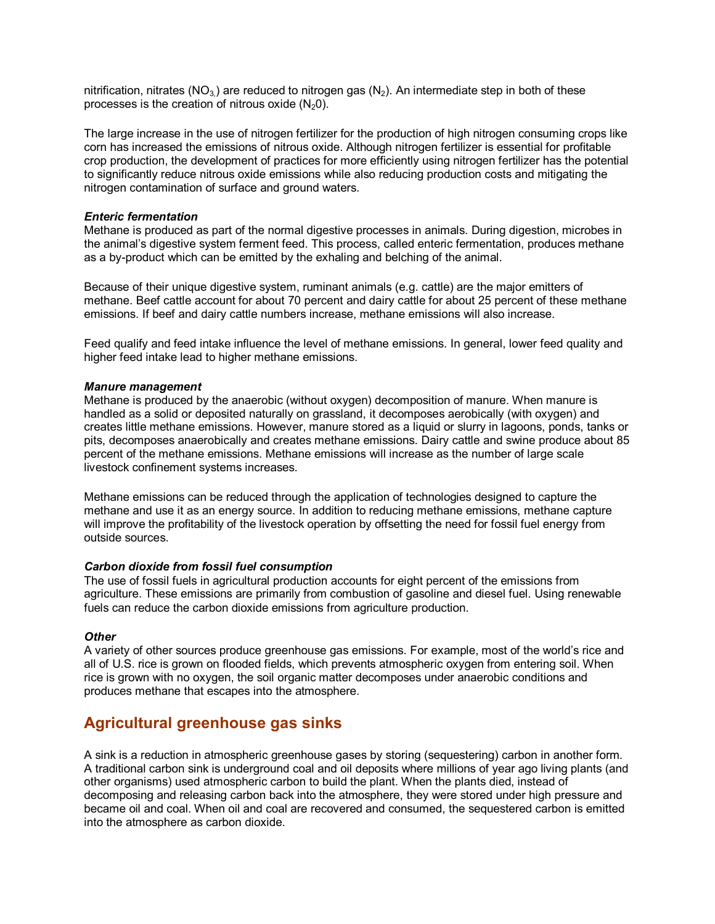nitrification, nitrates ( $NO<sub>3</sub>$ ) are reduced to nitrogen gas ( $N<sub>2</sub>$ ). An intermediate step in both of these processes is the creation of nitrous oxide  $(N_20)$ .

The large increase in the use of nitrogen fertilizer for the production of high nitrogen consuming crops like corn has increased the emissions of nitrous oxide. Although nitrogen fertilizer is essential for profitable crop production, the development of practices for more efficiently using nitrogen fertilizer has the potential to significantly reduce nitrous oxide emissions while also reducing production costs and mitigating the nitrogen contamination of surface and ground waters.

### *Enteric fermentation*

Methane is produced as part of the normal digestive processes in animals. During digestion, microbes in the animal's digestive system ferment feed. This process, called enteric fermentation, produces methane as a by-product which can be emitted by the exhaling and belching of the animal.

Because of their unique digestive system, ruminant animals (e.g. cattle) are the major emitters of methane. Beef cattle account for about 70 percent and dairy cattle for about 25 percent of these methane emissions. If beef and dairy cattle numbers increase, methane emissions will also increase.

Feed qualify and feed intake influence the level of methane emissions. In general, lower feed quality and higher feed intake lead to higher methane emissions.

## *Manure management*

Methane is produced by the anaerobic (without oxygen) decomposition of manure. When manure is handled as a solid or deposited naturally on grassland, it decomposes aerobically (with oxygen) and creates little methane emissions. However, manure stored as a liquid or slurry in lagoons, ponds, tanks or pits, decomposes anaerobically and creates methane emissions. Dairy cattle and swine produce about 85 percent of the methane emissions. Methane emissions will increase as the number of large scale livestock confinement systems increases.

Methane emissions can be reduced through the application of technologies designed to capture the methane and use it as an energy source. In addition to reducing methane emissions, methane capture will improve the profitability of the livestock operation by offsetting the need for fossil fuel energy from outside sources.

## *Carbon dioxide from fossil fuel consumption*

The use of fossil fuels in agricultural production accounts for eight percent of the emissions from agriculture. These emissions are primarily from combustion of gasoline and diesel fuel. Using renewable fuels can reduce the carbon dioxide emissions from agriculture production.

### *Other*

A variety of other sources produce greenhouse gas emissions. For example, most of the world's rice and all of U.S. rice is grown on flooded fields, which prevents atmospheric oxygen from entering soil. When rice is grown with no oxygen, the soil organic matter decomposes under anaerobic conditions and produces methane that escapes into the atmosphere.

# **Agricultural greenhouse gas sinks**

A sink is a reduction in atmospheric greenhouse gases by storing (sequestering) carbon in another form. A traditional carbon sink is underground coal and oil deposits where millions of year ago living plants (and other organisms) used atmospheric carbon to build the plant. When the plants died, instead of decomposing and releasing carbon back into the atmosphere, they were stored under high pressure and became oil and coal. When oil and coal are recovered and consumed, the sequestered carbon is emitted into the atmosphere as carbon dioxide.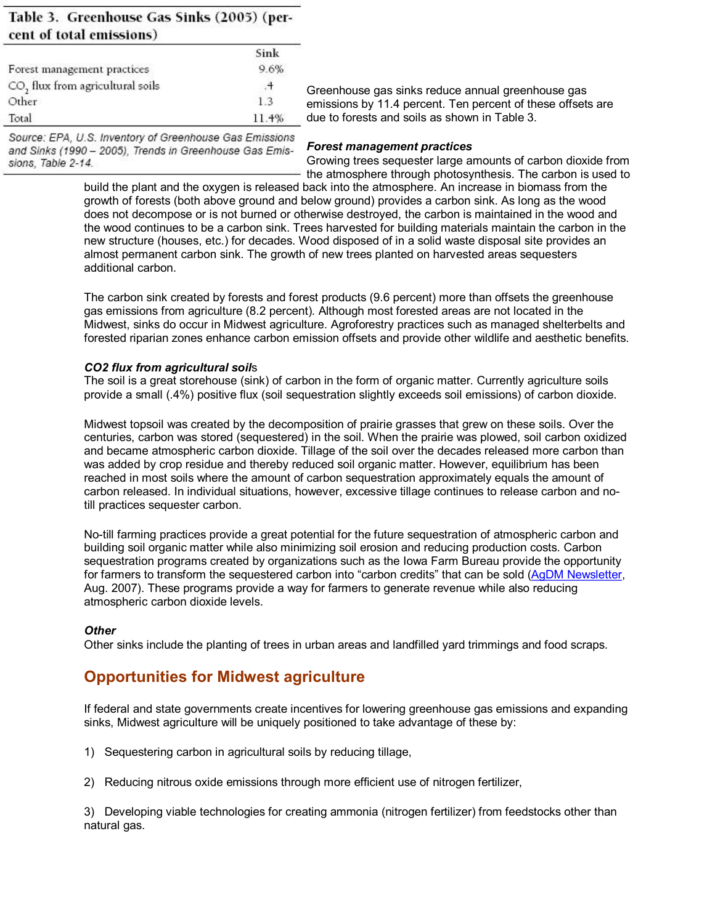# Table 3. Greenhouse Gas Sinks (2005) (percent of total emissions)

|                                  | Sink  |
|----------------------------------|-------|
| Forest management practices      | 9.6%  |
| CO, flux from agricultural soils |       |
| Other                            | 1.3   |
| Total                            | 11.4% |

Greenhouse gas sinks reduce annual greenhouse gas emissions by 11.4 percent. Ten percent of these offsets are due to forests and soils as shown in Table 3.

Source: EPA, U.S. Inventory of Greenhouse Gas Emissions and Sinks (1990 - 2005). Trends in Greenhouse Gas Emissions, Table 2-14.

### *Forest management practices*

Growing trees sequester large amounts of carbon dioxide from the atmosphere through photosynthesis. The carbon is used to

build the plant and the oxygen is released back into the atmosphere. An increase in biomass from the growth of forests (both above ground and below ground) provides a carbon sink. As long as the wood does not decompose or is not burned or otherwise destroyed, the carbon is maintained in the wood and the wood continues to be a carbon sink. Trees harvested for building materials maintain the carbon in the new structure (houses, etc.) for decades. Wood disposed of in a solid waste disposal site provides an almost permanent carbon sink. The growth of new trees planted on harvested areas sequesters additional carbon.

The carbon sink created by forests and forest products (9.6 percent) more than offsets the greenhouse gas emissions from agriculture (8.2 percent). Although most forested areas are not located in the Midwest, sinks do occur in Midwest agriculture. Agroforestry practices such as managed shelterbelts and forested riparian zones enhance carbon emission offsets and provide other wildlife and aesthetic benefits.

## *CO2 flux from agricultural soil*s

The soil is a great storehouse (sink) of carbon in the form of organic matter. Currently agriculture soils provide a small (.4%) positive flux (soil sequestration slightly exceeds soil emissions) of carbon dioxide.

Midwest topsoil was created by the decomposition of prairie grasses that grew on these soils. Over the centuries, carbon was stored (sequestered) in the soil. When the prairie was plowed, soil carbon oxidized and became atmospheric carbon dioxide. Tillage of the soil over the decades released more carbon than was added by crop residue and thereby reduced soil organic matter. However, equilibrium has been reached in most soils where the amount of carbon sequestration approximately equals the amount of carbon released. In individual situations, however, excessive tillage continues to release carbon and no till practices sequester carbon.

No-till farming practices provide a great potential for the future sequestration of atmospheric carbon and building soil organic matter while also minimizing soil erosion and reducing production costs. Carbon sequestration programs created by organizations such as the Iowa Farm Bureau provide the opportunity for farmers to transform the sequestered carbon into "carbon credits" that can be sold [\(AgDM Newsletter,](http://www.extension.iastate.edu/agdm/newsletters/nl2007/nlaug07.pdf) Aug. 2007). These programs provide a way for farmers to generate revenue while also reducing atmospheric carbon dioxide levels.

### *Other*

Other sinks include the planting of trees in urban areas and landfilled yard trimmings and food scraps.

# **Opportunities for Midwest agriculture**

If federal and state governments create incentives for lowering greenhouse gas emissions and expanding sinks, Midwest agriculture will be uniquely positioned to take advantage of these by:

- 1) Sequestering carbon in agricultural soils by reducing tillage,
- 2) Reducing nitrous oxide emissions through more efficient use of nitrogen fertilizer,

3) Developing viable technologies for creating ammonia (nitrogen fertilizer) from feedstocks other than natural gas.